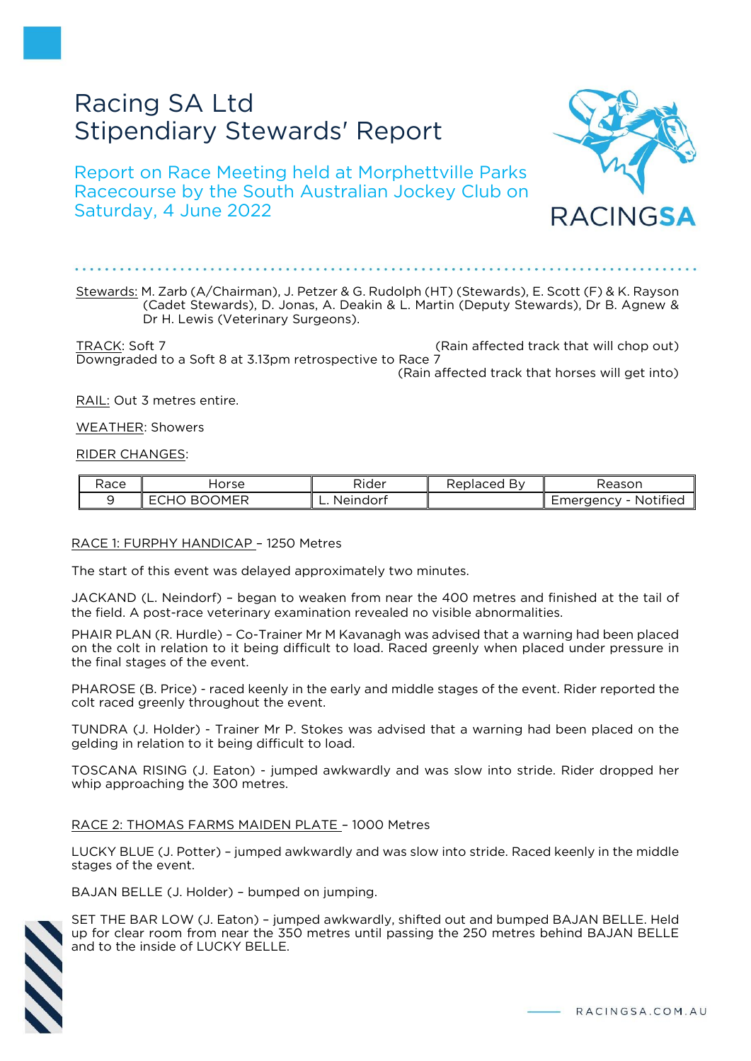# Racing SA Ltd Stipendiary Stewards' Report

Report on Race Meeting held at Morphettville Parks Racecourse by the South Australian Jockey Club on Saturday, 4 June 2022



TRACK: Soft 7 (Rain affected track that will chop out) Downgraded to a Soft 8 at 3.13pm retrospective to Race 7 (Rain affected track that horses will get into)

RAIL: Out 3 metres entire.

WEATHER: Showers

RIDER CHANGES:

| Race | lorse                      | - -<br>Rider           | Replaced<br>нv | Reason                            |
|------|----------------------------|------------------------|----------------|-----------------------------------|
|      | OMED<br>в.<br>-<br>НL<br>∼ | . Neindor†<br><b>.</b> |                | $\cdots$<br>Notified<br>Emergency |

## RACE 1: FURPHY HANDICAP – 1250 Metres

The start of this event was delayed approximately two minutes.

JACKAND (L. Neindorf) – began to weaken from near the 400 metres and finished at the tail of the field. A post-race veterinary examination revealed no visible abnormalities.

PHAIR PLAN (R. Hurdle) – Co-Trainer Mr M Kavanagh was advised that a warning had been placed on the colt in relation to it being difficult to load. Raced greenly when placed under pressure in the final stages of the event.

PHAROSE (B. Price) - raced keenly in the early and middle stages of the event. Rider reported the colt raced greenly throughout the event.

TUNDRA (J. Holder) - Trainer Mr P. Stokes was advised that a warning had been placed on the gelding in relation to it being difficult to load.

TOSCANA RISING (J. Eaton) - jumped awkwardly and was slow into stride. Rider dropped her whip approaching the 300 metres.

# RACE 2: THOMAS FARMS MAIDEN PLATE – 1000 Metres

LUCKY BLUE (J. Potter) – jumped awkwardly and was slow into stride. Raced keenly in the middle stages of the event.

BAJAN BELLE (J. Holder) – bumped on jumping.

SET THE BAR LOW (J. Eaton) – jumped awkwardly, shifted out and bumped BAJAN BELLE. Held up for clear room from near the 350 metres until passing the 250 metres behind BAJAN BELLE and to the inside of LUCKY BELLE.

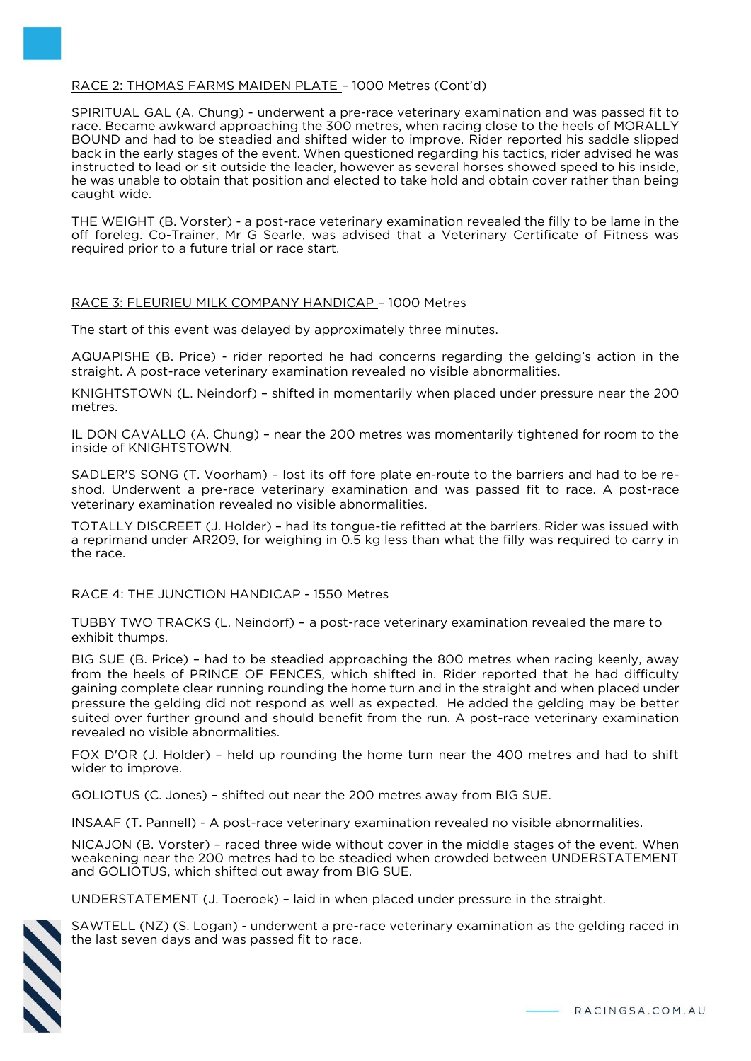# RACE 2: THOMAS FARMS MAIDEN PLATE – 1000 Metres (Cont'd)

SPIRITUAL GAL (A. Chung) - underwent a pre-race veterinary examination and was passed fit to race. Became awkward approaching the 300 metres, when racing close to the heels of MORALLY BOUND and had to be steadied and shifted wider to improve. Rider reported his saddle slipped back in the early stages of the event. When questioned regarding his tactics, rider advised he was instructed to lead or sit outside the leader, however as several horses showed speed to his inside, he was unable to obtain that position and elected to take hold and obtain cover rather than being caught wide.

THE WEIGHT (B. Vorster) - a post-race veterinary examination revealed the filly to be lame in the off foreleg. Co-Trainer, Mr G Searle, was advised that a Veterinary Certificate of Fitness was required prior to a future trial or race start.

## RACE 3: FLEURIEU MILK COMPANY HANDICAP – 1000 Metres

The start of this event was delayed by approximately three minutes.

AQUAPISHE (B. Price) - rider reported he had concerns regarding the gelding's action in the straight. A post-race veterinary examination revealed no visible abnormalities.

KNIGHTSTOWN (L. Neindorf) – shifted in momentarily when placed under pressure near the 200 metres.

IL DON CAVALLO (A. Chung) – near the 200 metres was momentarily tightened for room to the inside of KNIGHTSTOWN.

SADLER'S SONG (T. Voorham) – lost its off fore plate en-route to the barriers and had to be reshod. Underwent a pre-race veterinary examination and was passed fit to race. A post-race veterinary examination revealed no visible abnormalities.

TOTALLY DISCREET (J. Holder) – had its tongue-tie refitted at the barriers. Rider was issued with a reprimand under AR209, for weighing in 0.5 kg less than what the filly was required to carry in the race.

## RACE 4: THE JUNCTION HANDICAP - 1550 Metres

TUBBY TWO TRACKS (L. Neindorf) – a post-race veterinary examination revealed the mare to exhibit thumps.

BIG SUE (B. Price) – had to be steadied approaching the 800 metres when racing keenly, away from the heels of PRINCE OF FENCES, which shifted in. Rider reported that he had difficulty gaining complete clear running rounding the home turn and in the straight and when placed under pressure the gelding did not respond as well as expected. He added the gelding may be better suited over further ground and should benefit from the run. A post-race veterinary examination revealed no visible abnormalities.

FOX D'OR (J. Holder) – held up rounding the home turn near the 400 metres and had to shift wider to improve.

GOLIOTUS (C. Jones) – shifted out near the 200 metres away from BIG SUE.

INSAAF (T. Pannell) - A post-race veterinary examination revealed no visible abnormalities.

NICAJON (B. Vorster) – raced three wide without cover in the middle stages of the event. When weakening near the 200 metres had to be steadied when crowded between UNDERSTATEMENT and GOLIOTUS, which shifted out away from BIG SUE.

UNDERSTATEMENT (J. Toeroek) – laid in when placed under pressure in the straight.



SAWTELL (NZ) (S. Logan) - underwent a pre-race veterinary examination as the gelding raced in the last seven days and was passed fit to race.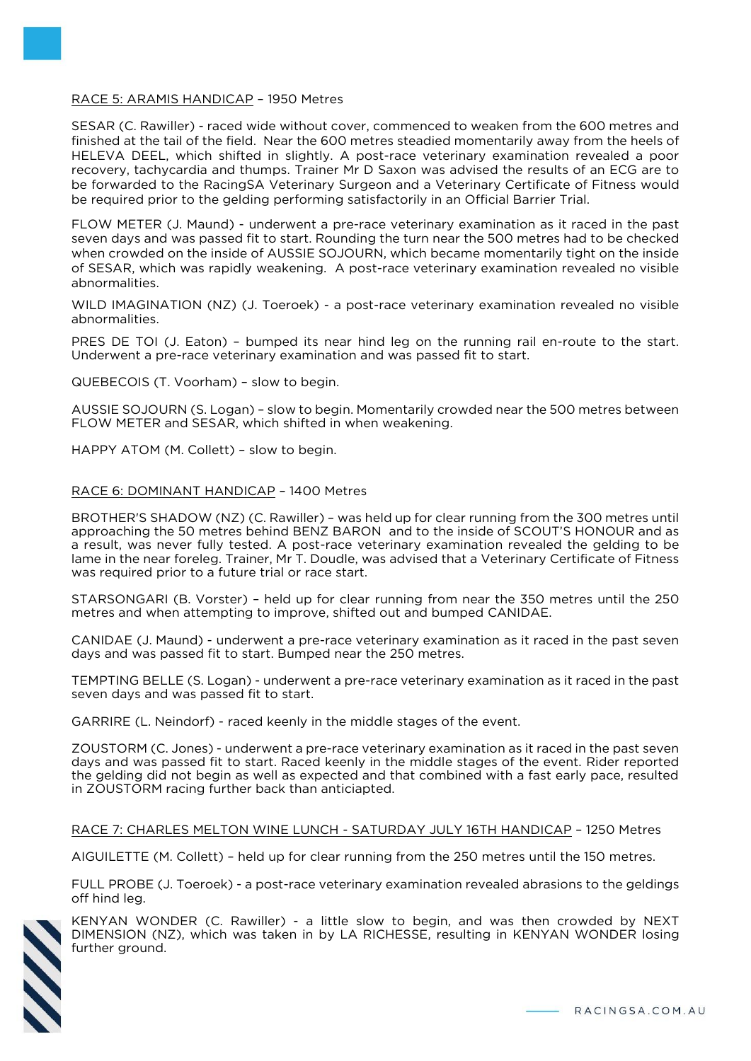# RACE 5: ARAMIS HANDICAP – 1950 Metres

SESAR (C. Rawiller) - raced wide without cover, commenced to weaken from the 600 metres and finished at the tail of the field. Near the 600 metres steadied momentarily away from the heels of HELEVA DEEL, which shifted in slightly. A post-race veterinary examination revealed a poor recovery, tachycardia and thumps. Trainer Mr D Saxon was advised the results of an ECG are to be forwarded to the RacingSA Veterinary Surgeon and a Veterinary Certificate of Fitness would be required prior to the gelding performing satisfactorily in an Official Barrier Trial.

FLOW METER (J. Maund) - underwent a pre-race veterinary examination as it raced in the past seven days and was passed fit to start. Rounding the turn near the 500 metres had to be checked when crowded on the inside of AUSSIE SOJOURN, which became momentarily tight on the inside of SESAR, which was rapidly weakening. A post-race veterinary examination revealed no visible abnormalities.

WILD IMAGINATION (NZ) (J. Toeroek) - a post-race veterinary examination revealed no visible abnormalities.

PRES DE TOI (J. Eaton) - bumped its near hind leg on the running rail en-route to the start. Underwent a pre-race veterinary examination and was passed fit to start.

QUEBECOIS (T. Voorham) – slow to begin.

AUSSIE SOJOURN (S. Logan) – slow to begin. Momentarily crowded near the 500 metres between FLOW METER and SESAR, which shifted in when weakening.

HAPPY ATOM (M. Collett) – slow to begin.

# RACE 6: DOMINANT HANDICAP – 1400 Metres

BROTHER'S SHADOW (NZ) (C. Rawiller) – was held up for clear running from the 300 metres until approaching the 50 metres behind BENZ BARON and to the inside of SCOUT'S HONOUR and as a result, was never fully tested. A post-race veterinary examination revealed the gelding to be lame in the near foreleg. Trainer, Mr T. Doudle, was advised that a Veterinary Certificate of Fitness was required prior to a future trial or race start.

STARSONGARI (B. Vorster) – held up for clear running from near the 350 metres until the 250 metres and when attempting to improve, shifted out and bumped CANIDAE.

CANIDAE (J. Maund) - underwent a pre-race veterinary examination as it raced in the past seven days and was passed fit to start. Bumped near the 250 metres.

TEMPTING BELLE (S. Logan) - underwent a pre-race veterinary examination as it raced in the past seven days and was passed fit to start.

GARRIRE (L. Neindorf) - raced keenly in the middle stages of the event.

ZOUSTORM (C. Jones) - underwent a pre-race veterinary examination as it raced in the past seven days and was passed fit to start. Raced keenly in the middle stages of the event. Rider reported the gelding did not begin as well as expected and that combined with a fast early pace, resulted in ZOUSTORM racing further back than anticiapted.

RACE 7: CHARLES MELTON WINE LUNCH - SATURDAY JULY 16TH HANDICAP – 1250 Metres

AIGUILETTE (M. Collett) – held up for clear running from the 250 metres until the 150 metres.

FULL PROBE (J. Toeroek) - a post-race veterinary examination revealed abrasions to the geldings off hind leg.



KENYAN WONDER (C. Rawiller) - a little slow to begin, and was then crowded by NEXT DIMENSION (NZ), which was taken in by LA RICHESSE, resulting in KENYAN WONDER losing further ground.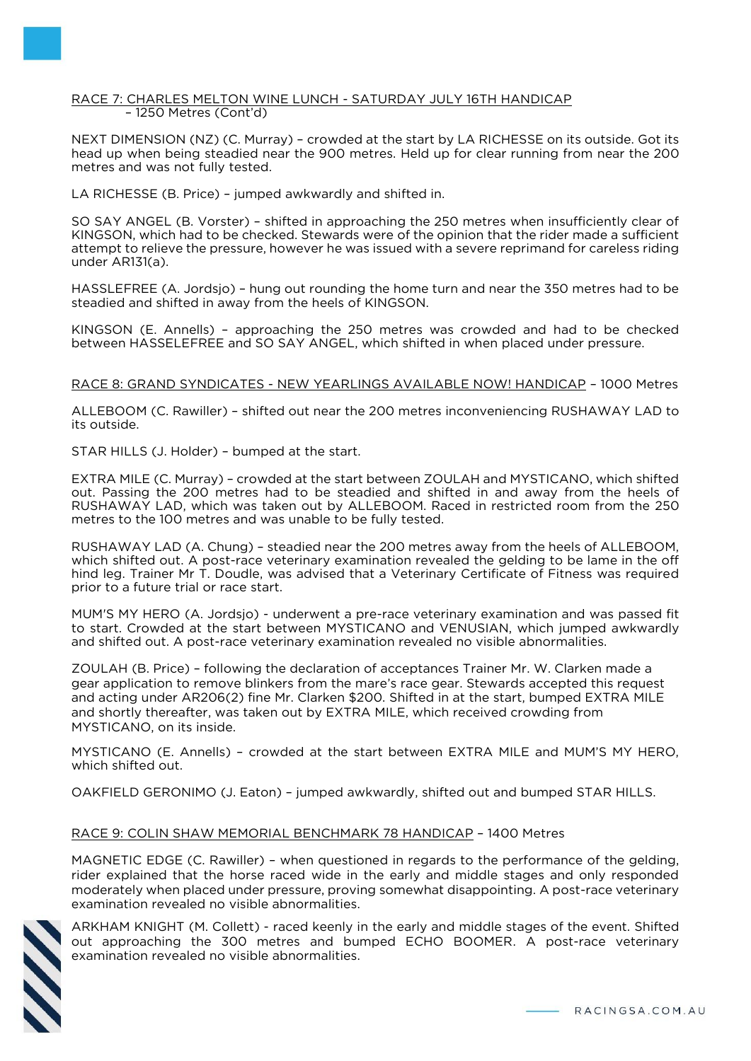#### RACE 7: CHARLES MELTON WINE LUNCH - SATURDAY JULY 16TH HANDICAP – 1250 Metres (Cont'd)

NEXT DIMENSION (NZ) (C. Murray) – crowded at the start by LA RICHESSE on its outside. Got its head up when being steadied near the 900 metres. Held up for clear running from near the 200 metres and was not fully tested.

LA RICHESSE (B. Price) – jumped awkwardly and shifted in.

SO SAY ANGEL (B. Vorster) – shifted in approaching the 250 metres when insufficiently clear of KINGSON, which had to be checked. Stewards were of the opinion that the rider made a sufficient attempt to relieve the pressure, however he was issued with a severe reprimand for careless riding under AR131(a).

HASSLEFREE (A. Jordsjo) – hung out rounding the home turn and near the 350 metres had to be steadied and shifted in away from the heels of KINGSON.

KINGSON (E. Annells) – approaching the 250 metres was crowded and had to be checked between HASSELEFREE and SO SAY ANGEL, which shifted in when placed under pressure.

## RACE 8: GRAND SYNDICATES - NEW YEARLINGS AVAILABLE NOW! HANDICAP – 1000 Metres

ALLEBOOM (C. Rawiller) – shifted out near the 200 metres inconveniencing RUSHAWAY LAD to its outside.

STAR HILLS (J. Holder) – bumped at the start.

EXTRA MILE (C. Murray) – crowded at the start between ZOULAH and MYSTICANO, which shifted out. Passing the 200 metres had to be steadied and shifted in and away from the heels of RUSHAWAY LAD, which was taken out by ALLEBOOM. Raced in restricted room from the 250 metres to the 100 metres and was unable to be fully tested.

RUSHAWAY LAD (A. Chung) – steadied near the 200 metres away from the heels of ALLEBOOM, which shifted out. A post-race veterinary examination revealed the gelding to be lame in the off hind leg. Trainer Mr T. Doudle, was advised that a Veterinary Certificate of Fitness was required prior to a future trial or race start.

MUM'S MY HERO (A. Jordsjo) - underwent a pre-race veterinary examination and was passed fit to start. Crowded at the start between MYSTICANO and VENUSIAN, which jumped awkwardly and shifted out. A post-race veterinary examination revealed no visible abnormalities.

ZOULAH (B. Price) – following the declaration of acceptances Trainer Mr. W. Clarken made a gear application to remove blinkers from the mare's race gear. Stewards accepted this request and acting under AR206(2) fine Mr. Clarken \$200. Shifted in at the start, bumped EXTRA MILE and shortly thereafter, was taken out by EXTRA MILE, which received crowding from MYSTICANO, on its inside.

MYSTICANO (E. Annells) – crowded at the start between EXTRA MILE and MUM'S MY HERO, which shifted out.

OAKFIELD GERONIMO (J. Eaton) – jumped awkwardly, shifted out and bumped STAR HILLS.

# RACE 9: COLIN SHAW MEMORIAL BENCHMARK 78 HANDICAP – 1400 Metres

MAGNETIC EDGE (C. Rawiller) – when questioned in regards to the performance of the gelding, rider explained that the horse raced wide in the early and middle stages and only responded moderately when placed under pressure, proving somewhat disappointing. A post-race veterinary examination revealed no visible abnormalities.



ARKHAM KNIGHT (M. Collett) - raced keenly in the early and middle stages of the event. Shifted out approaching the 300 metres and bumped ECHO BOOMER. A post-race veterinary examination revealed no visible abnormalities.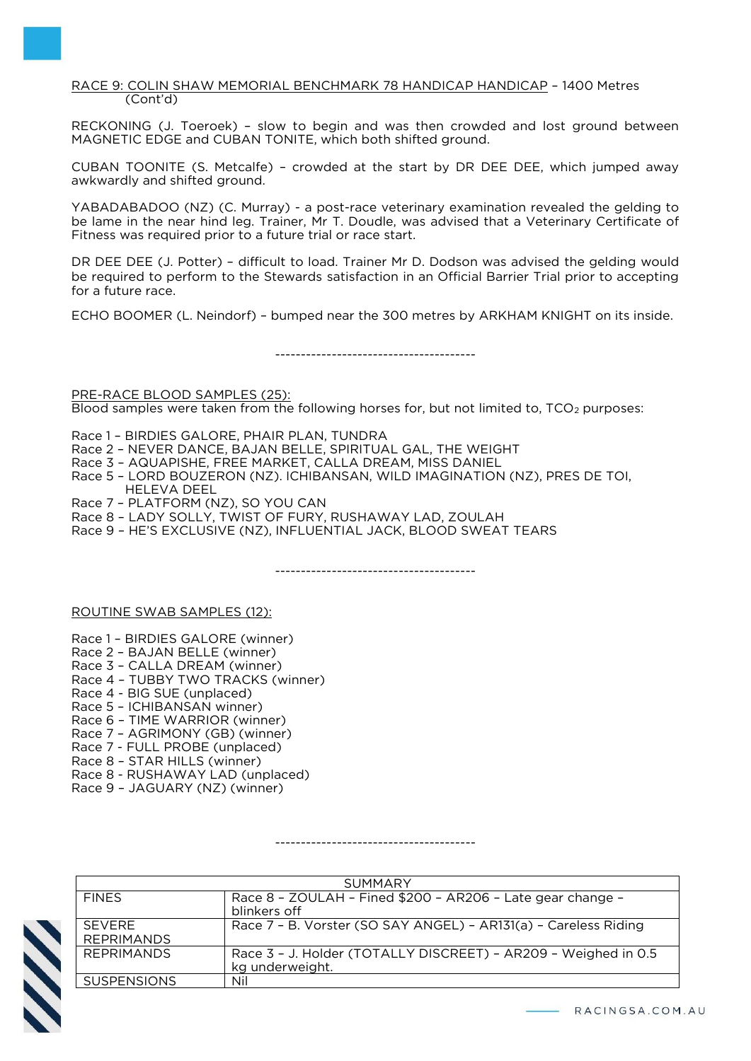RACE 9: COLIN SHAW MEMORIAL BENCHMARK 78 HANDICAP HANDICAP – 1400 Metres (Cont'd)

RECKONING (J. Toeroek) – slow to begin and was then crowded and lost ground between MAGNETIC EDGE and CUBAN TONITE, which both shifted ground.

CUBAN TOONITE (S. Metcalfe) – crowded at the start by DR DEE DEE, which jumped away awkwardly and shifted ground.

YABADABADOO (NZ) (C. Murray) - a post-race veterinary examination revealed the gelding to be lame in the near hind leg. Trainer, Mr T. Doudle, was advised that a Veterinary Certificate of Fitness was required prior to a future trial or race start.

DR DEE DEE (J. Potter) – difficult to load. Trainer Mr D. Dodson was advised the gelding would be required to perform to the Stewards satisfaction in an Official Barrier Trial prior to accepting for a future race.

ECHO BOOMER (L. Neindorf) – bumped near the 300 metres by ARKHAM KNIGHT on its inside.

---------------------------------------

PRE-RACE BLOOD SAMPLES (25): Blood samples were taken from the following horses for, but not limited to, TCO<sub>2</sub> purposes:

Race 1 – BIRDIES GALORE, PHAIR PLAN, TUNDRA

- Race 2 NEVER DANCE, BAJAN BELLE, SPIRITUAL GAL, THE WEIGHT
- Race 3 AQUAPISHE, FREE MARKET, CALLA DREAM, MISS DANIEL
- Race 5 LORD BOUZERON (NZ). ICHIBANSAN, WILD IMAGINATION (NZ), PRES DE TOI, HELEVA DEEL
- Race 7 PLATFORM (NZ), SO YOU CAN
- Race 8 LADY SOLLY, TWIST OF FURY, RUSHAWAY LAD, ZOULAH
- Race 9 HE'S EXCLUSIVE (NZ), INFLUENTIAL JACK, BLOOD SWEAT TEARS

---------------------------------------

ROUTINE SWAB SAMPLES (12):

- Race 1 BIRDIES GALORE (winner)
- Race 2 BAJAN BELLE (winner)
- Race 3 CALLA DREAM (winner)
- Race 4 TUBBY TWO TRACKS (winner)
- Race 4 BIG SUE (unplaced)
- Race 5 ICHIBANSAN winner)
- Race 6 TIME WARRIOR (winner)
- Race 7 AGRIMONY (GB) (winner)
- Race 7 FULL PROBE (unplaced)
- Race 8 STAR HILLS (winner)
- Race 8 RUSHAWAY LAD (unplaced)
- Race 9 JAGUARY (NZ) (winner)

---------------------------------------

| <b>SUMMARY</b>                     |                                                                                   |  |
|------------------------------------|-----------------------------------------------------------------------------------|--|
| <b>FINFS</b>                       | Race 8 - ZOULAH - Fined \$200 - AR206 - Late gear change -<br>blinkers off        |  |
| <b>SEVERE</b><br><b>REPRIMANDS</b> | Race 7 - B. Vorster (SO SAY ANGEL) - AR131(a) - Careless Riding                   |  |
| <b>REPRIMANDS</b>                  | Race 3 - J. Holder (TOTALLY DISCREET) - AR209 - Weighed in 0.5<br>kg underweight. |  |
| <b>SUSPENSIONS</b>                 | Nil                                                                               |  |